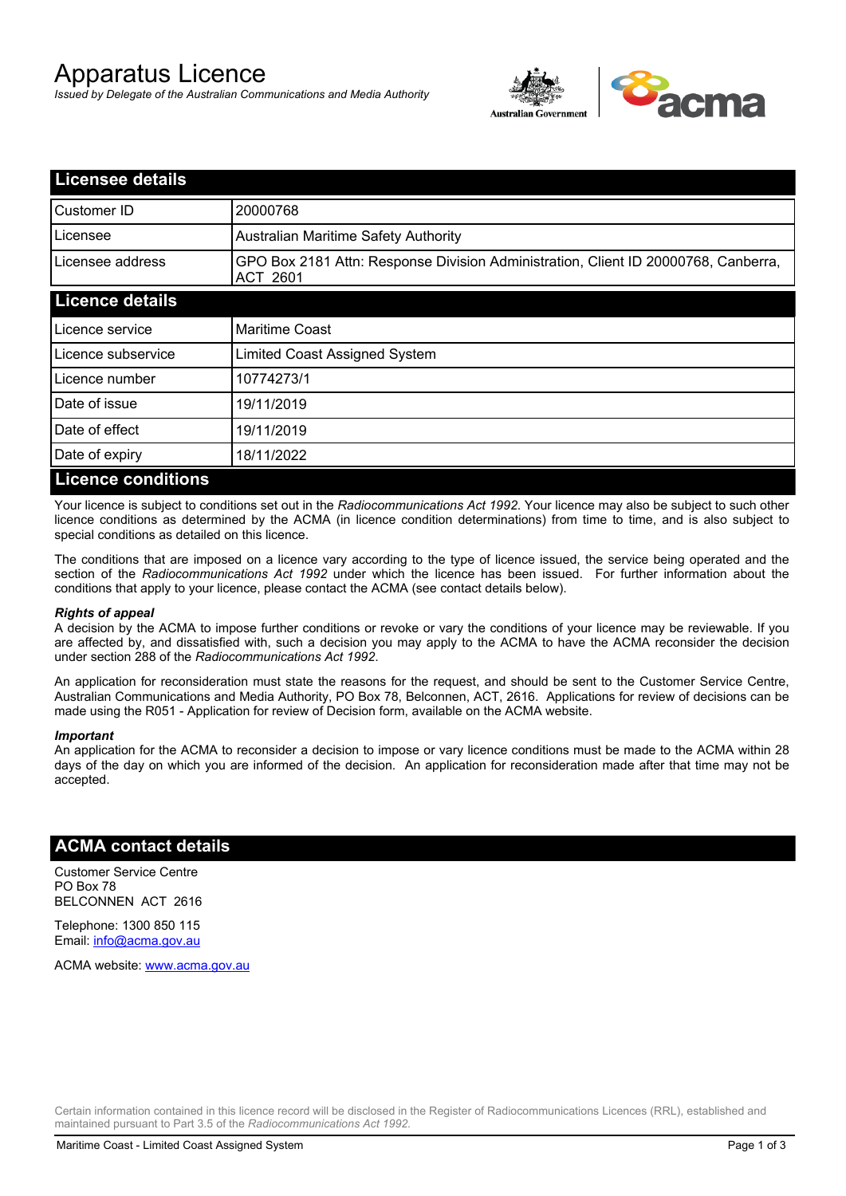# Apparatus Licence

*Issued by Delegate of the Australian Communications and Media Authority*



| <b>Licensee details</b>   |                                                                                                       |  |
|---------------------------|-------------------------------------------------------------------------------------------------------|--|
| Customer ID               | 20000768                                                                                              |  |
| Licensee                  | <b>Australian Maritime Safety Authority</b>                                                           |  |
| Licensee address          | GPO Box 2181 Attn: Response Division Administration, Client ID 20000768, Canberra,<br><b>ACT 2601</b> |  |
| <b>Licence details</b>    |                                                                                                       |  |
| Licence service           | <b>Maritime Coast</b>                                                                                 |  |
| Licence subservice        | Limited Coast Assigned System                                                                         |  |
| Licence number            | 10774273/1                                                                                            |  |
| Date of issue             | 19/11/2019                                                                                            |  |
| Date of effect            | 19/11/2019                                                                                            |  |
| Date of expiry            | 18/11/2022                                                                                            |  |
| <b>Licence conditions</b> |                                                                                                       |  |

Your licence is subject to conditions set out in the *Radiocommunications Act 1992*. Your licence may also be subject to such other licence conditions as determined by the ACMA (in licence condition determinations) from time to time, and is also subject to special conditions as detailed on this licence.

The conditions that are imposed on a licence vary according to the type of licence issued, the service being operated and the section of the *Radiocommunications Act 1992* under which the licence has been issued. For further information about the conditions that apply to your licence, please contact the ACMA (see contact details below).

### *Rights of appeal*

A decision by the ACMA to impose further conditions or revoke or vary the conditions of your licence may be reviewable. If you are affected by, and dissatisfied with, such a decision you may apply to the ACMA to have the ACMA reconsider the decision under section 288 of the *Radiocommunications Act 1992*.

An application for reconsideration must state the reasons for the request, and should be sent to the Customer Service Centre, Australian Communications and Media Authority, PO Box 78, Belconnen, ACT, 2616. Applications for review of decisions can be made using the R051 - Application for review of Decision form, available on the ACMA website.

#### *Important*

An application for the ACMA to reconsider a decision to impose or vary licence conditions must be made to the ACMA within 28 days of the day on which you are informed of the decision. An application for reconsideration made after that time may not be accepted.

### **ACMA contact details**

Customer Service Centre PO Box 78 BELCONNEN ACT 2616

Telephone: 1300 850 115 Email: info@acma.gov.au

ACMA website: www.acma.gov.au

Certain information contained in this licence record will be disclosed in the Register of Radiocommunications Licences (RRL), established and maintained pursuant to Part 3.5 of the *Radiocommunications Act 1992.*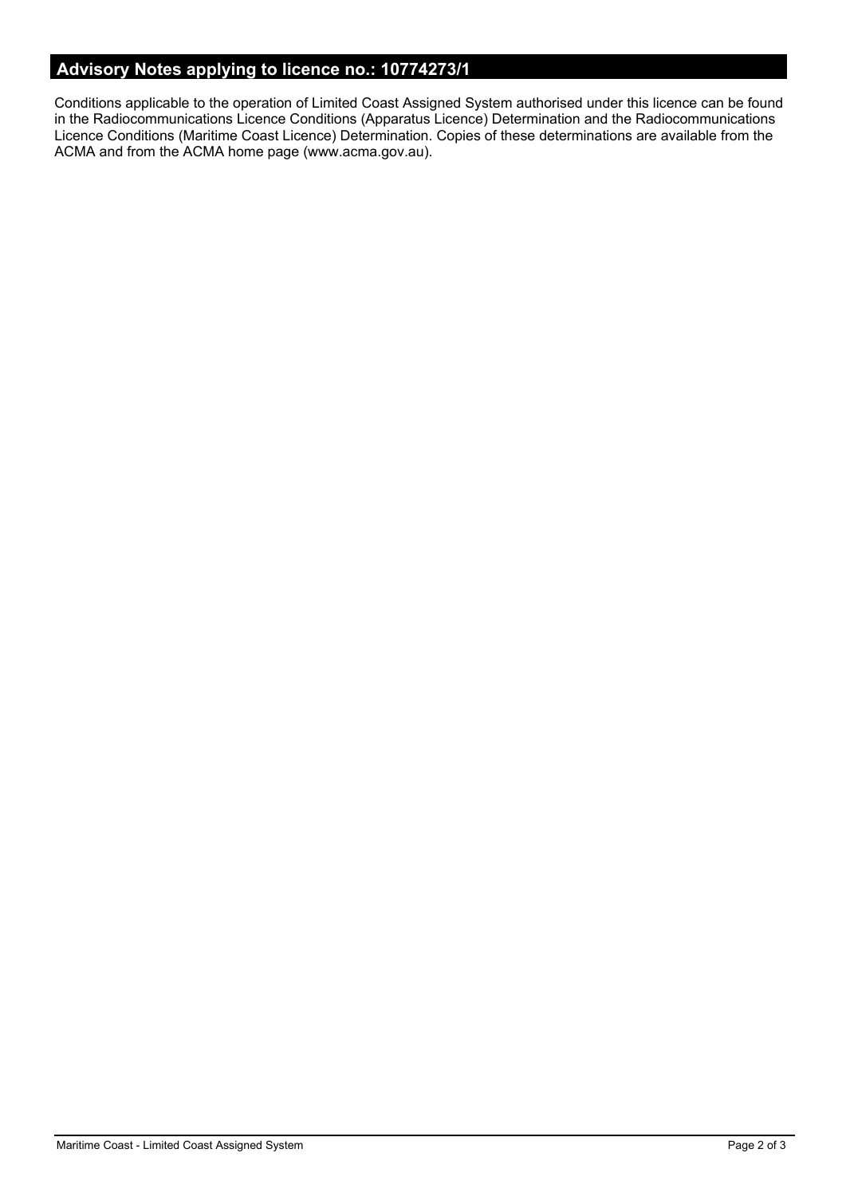# **Advisory Notes applying to licence no.: 10774273/1**

Conditions applicable to the operation of Limited Coast Assigned System authorised under this licence can be found in the Radiocommunications Licence Conditions (Apparatus Licence) Determination and the Radiocommunications Licence Conditions (Maritime Coast Licence) Determination. Copies of these determinations are available from the ACMA and from the ACMA home page (www.acma.gov.au).